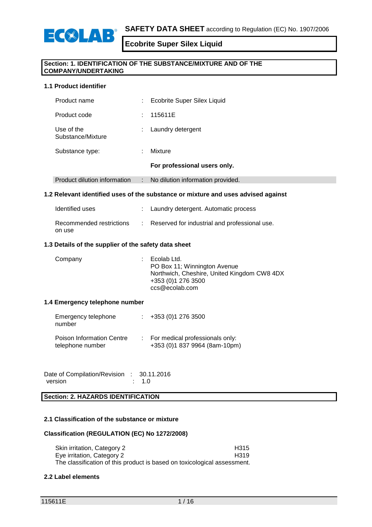

## **Section: 1. IDENTIFICATION OF THE SUBSTANCE/MIXTURE AND OF THE COMPANY/UNDERTAKING**

## **1.1 Product identifier**

| Product name                    | ÷ | Ecobrite Super Silex Liquid       |
|---------------------------------|---|-----------------------------------|
| Product code                    | ÷ | 115611E                           |
| Use of the<br>Substance/Mixture | ÷ | Laundry detergent                 |
| Substance type:                 | ٠ | Mixture                           |
|                                 |   | For professional users only.      |
| Product dilution information    | ÷ | No dilution information provided. |

# **1.2 Relevant identified uses of the substance or mixture and uses advised against**

| Identified uses                    | : Laundry detergent. Automatic process        |
|------------------------------------|-----------------------------------------------|
| Recommended restrictions<br>on use | Reserved for industrial and professional use. |

# **1.3 Details of the supplier of the safety data sheet**

| Company | $\therefore$ Ecolab Ltd.<br>PO Box 11; Winnington Avenue<br>Northwich, Cheshire, United Kingdom CW8 4DX<br>+353 (0)1 276 3500<br>ccs@ecolab.com |
|---------|-------------------------------------------------------------------------------------------------------------------------------------------------|
|         |                                                                                                                                                 |

#### **1.4 Emergency telephone number**

| Emergency telephone<br>number                        | $\div$ +353 (0)1 276 3500                                        |
|------------------------------------------------------|------------------------------------------------------------------|
| <b>Poison Information Centre</b><br>telephone number | For medical professionals only:<br>+353 (0)1 837 9964 (8am-10pm) |

Date of Compilation/Revision : 30.11.2016<br>version : 1.0 version

**Section: 2. HAZARDS IDENTIFICATION**

# **2.1 Classification of the substance or mixture**

#### **Classification (REGULATION (EC) No 1272/2008)**

Skin irritation, Category 2 **H315**<br>
Eve irritation. Category 2 **H319** Eye irritation, Category 2 The classification of this product is based on toxicological assessment.

#### **2.2 Label elements**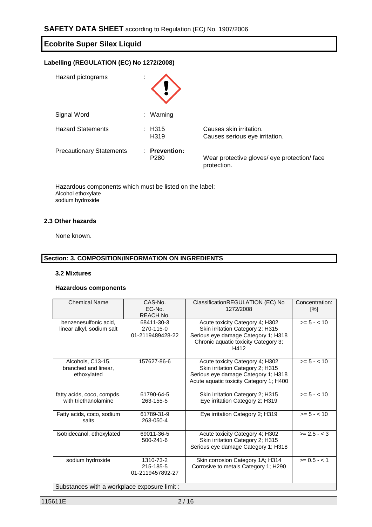| <b>Ecobrite Super Silex Liquid</b><br>Labelling (REGULATION (EC) No 1272/2008) |                                |                                                           |  |
|--------------------------------------------------------------------------------|--------------------------------|-----------------------------------------------------------|--|
|                                                                                |                                |                                                           |  |
| Signal Word                                                                    | Warning<br>÷.                  |                                                           |  |
| <b>Hazard Statements</b>                                                       | $\pm$ H315<br>H <sub>319</sub> | Causes skin irritation.<br>Causes serious eye irritation. |  |
| <b>Precautionary Statements</b>                                                | : Prevention:                  |                                                           |  |

P280 Wear protective gloves/ eye protection/ face

protection.

Hazardous components which must be listed on the label: Alcohol ethoxylate sodium hydroxide

# **2.3 Other hazards**

None known.

# **Section: 3. COMPOSITION/INFORMATION ON INGREDIENTS**

## **3.2 Mixtures**

#### **Hazardous components**

| <b>Chemical Name</b>                                     | CAS-No.<br>EC-No.<br><b>REACH No.</b>       | ClassificationREGULATION (EC) No<br>1272/2008                                                                                                              | Concentration:<br>$[\%]$ |
|----------------------------------------------------------|---------------------------------------------|------------------------------------------------------------------------------------------------------------------------------------------------------------|--------------------------|
| benzenesulfonic acid,<br>linear alkyl, sodium salt       | 68411-30-3<br>270-115-0<br>01-2119489428-22 | Acute toxicity Category 4; H302<br>Skin irritation Category 2; H315<br>Serious eye damage Category 1; H318<br>Chronic aquatic toxicity Category 3;<br>H412 | $>= 5 - < 10$            |
| Alcohols, C13-15,<br>branched and linear,<br>ethoxylated | 157627-86-6                                 | Acute toxicity Category 4; H302<br>Skin irritation Category 2; H315<br>Serious eye damage Category 1; H318<br>Acute aquatic toxicity Category 1; H400      | $>= 5 - < 10$            |
| fatty acids, coco, compds.<br>with triethanolamine       | 61790-64-5<br>263-155-5                     | Skin irritation Category 2; H315<br>Eye irritation Category 2; H319                                                                                        | $>= 5 - < 10$            |
| Fatty acids, coco, sodium<br>salts                       | 61789-31-9<br>263-050-4                     | Eye irritation Category 2; H319                                                                                                                            | $>= 5 - < 10$            |
| Isotridecanol, ethoxylated                               | 69011-36-5<br>500-241-6                     | Acute toxicity Category 4; H302<br>Skin irritation Category 2; H315<br>Serious eye damage Category 1; H318                                                 | $>= 2.5 - 3$             |
| sodium hydroxide                                         | 1310-73-2<br>215-185-5<br>01-2119457892-27  | Skin corrosion Category 1A; H314<br>Corrosive to metals Category 1; H290                                                                                   | $>= 0.5 - 1$             |
| Substances with a workplace exposure limit :             |                                             |                                                                                                                                                            |                          |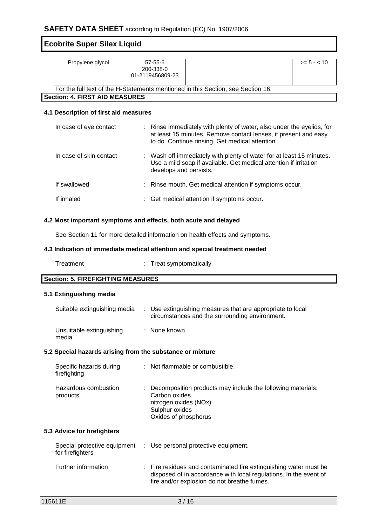| <b>Ecobrite Super Silex Liquid</b>    |                                                                                  |               |
|---------------------------------------|----------------------------------------------------------------------------------|---------------|
| Propylene glycol                      | $57 - 55 - 6$<br>200-338-0<br>01-2119456809-23                                   | $>= 5 - < 10$ |
|                                       | For the full text of the H-Statements mentioned in this Section, see Section 16. |               |
| <b>Section: 4. FIRST AID MEASURES</b> |                                                                                  |               |

# **4.1 Description of first aid measures**

| In case of eye contact  | : Rinse immediately with plenty of water, also under the eyelids, for<br>at least 15 minutes. Remove contact lenses, if present and easy<br>to do. Continue rinsing. Get medical attention. |
|-------------------------|---------------------------------------------------------------------------------------------------------------------------------------------------------------------------------------------|
| In case of skin contact | : Wash off immediately with plenty of water for at least 15 minutes.<br>Use a mild soap if available. Get medical attention if irritation<br>develops and persists.                         |
| If swallowed            | : Rinse mouth. Get medical attention if symptoms occur.                                                                                                                                     |
| If inhaled              | : Get medical attention if symptoms occur.                                                                                                                                                  |

# **4.2 Most important symptoms and effects, both acute and delayed**

See Section 11 for more detailed information on health effects and symptoms.

## **4.3 Indication of immediate medical attention and special treatment needed**

| Treatment | Treat symptomatically. |
|-----------|------------------------|
|-----------|------------------------|

# **Section: 5. FIREFIGHTING MEASURES**

## **5.1 Extinguishing media**

| Suitable extinguishing media      | : Use extinguishing measures that are appropriate to local<br>circumstances and the surrounding environment. |
|-----------------------------------|--------------------------------------------------------------------------------------------------------------|
| Unsuitable extinguishing<br>media | : None known.                                                                                                |

# **5.2 Special hazards arising from the substance or mixture**

| Specific hazards during<br>firefighting | : Not flammable or combustible.                                                                                                                   |
|-----------------------------------------|---------------------------------------------------------------------------------------------------------------------------------------------------|
| Hazardous combustion<br>products        | : Decomposition products may include the following materials:<br>Carbon oxides<br>nitrogen oxides (NOx)<br>Sulphur oxides<br>Oxides of phosphorus |
| 5.3 Advice for firefighters             |                                                                                                                                                   |

| Special protective equipment<br>for firefighters | : Use personal protective equipment.                                                                                                                                                  |
|--------------------------------------------------|---------------------------------------------------------------------------------------------------------------------------------------------------------------------------------------|
| Further information                              | : Fire residues and contaminated fire extinguishing water must be<br>disposed of in accordance with local regulations. In the event of<br>fire and/or explosion do not breathe fumes. |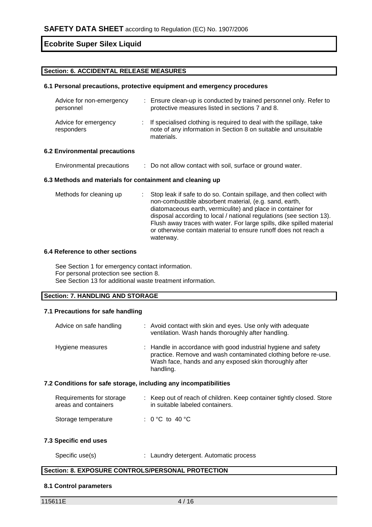# **Section: 6. ACCIDENTAL RELEASE MEASURES**

# **6.1 Personal precautions, protective equipment and emergency procedures**

| Advice for non-emergency<br>personnel | : Ensure clean-up is conducted by trained personnel only. Refer to<br>protective measures listed in sections 7 and 8.                                  |
|---------------------------------------|--------------------------------------------------------------------------------------------------------------------------------------------------------|
| Advice for emergency<br>responders    | : If specialised clothing is required to deal with the spillage, take<br>note of any information in Section 8 on suitable and unsuitable<br>materials. |

#### **6.2 Environmental precautions**

Environmental precautions : Do not allow contact with soil, surface or ground water.

#### **6.3 Methods and materials for containment and cleaning up**

| Methods for cleaning up | : Stop leak if safe to do so. Contain spillage, and then collect with |
|-------------------------|-----------------------------------------------------------------------|
|                         | non-combustible absorbent material, (e.g. sand, earth,                |
|                         | diatomaceous earth, vermiculite) and place in container for           |
|                         | disposal according to local / national regulations (see section 13).  |
|                         | Flush away traces with water. For large spills, dike spilled material |
|                         | or otherwise contain material to ensure runoff does not reach a       |
|                         | waterway.                                                             |

## **6.4 Reference to other sections**

See Section 1 for emergency contact information. For personal protection see section 8. See Section 13 for additional waste treatment information.

# **Section: 7. HANDLING AND STORAGE**

# **7.1 Precautions for safe handling**

| Advice on safe handling                                          | : Avoid contact with skin and eyes. Use only with adequate<br>ventilation. Wash hands thoroughly after handling.                                                                                        |  |  |
|------------------------------------------------------------------|---------------------------------------------------------------------------------------------------------------------------------------------------------------------------------------------------------|--|--|
| Hygiene measures                                                 | : Handle in accordance with good industrial hygiene and safety<br>practice. Remove and wash contaminated clothing before re-use.<br>Wash face, hands and any exposed skin thoroughly after<br>handling. |  |  |
| 7.2 Conditions for safe storage, including any incompatibilities |                                                                                                                                                                                                         |  |  |

#### Requirements for storage  $\qquad :$  Keep out of reach of children. Keep container tightly closed. Store areas and containers in suitable labeled containers. Storage temperature : 0 °C to 40 °C

# **7.3 Specific end uses**

| Specific use(s) |  | : Laundry detergent. Automatic process |
|-----------------|--|----------------------------------------|
|-----------------|--|----------------------------------------|

# **Section: 8. EXPOSURE CONTROLS/PERSONAL PROTECTION**

#### **8.1 Control parameters**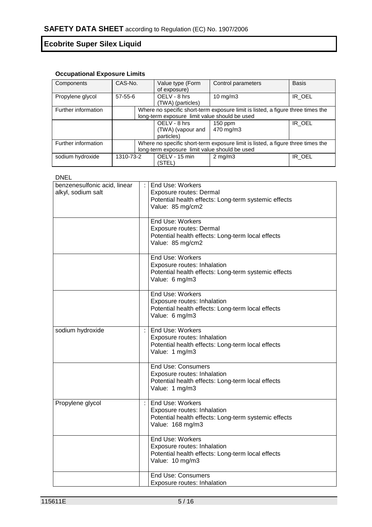# **Occupational Exposure Limits**

| Components          | CAS-No.                                       | Value type (Form  | Control parameters                                                              | <b>Basis</b> |  |
|---------------------|-----------------------------------------------|-------------------|---------------------------------------------------------------------------------|--------------|--|
|                     |                                               | of exposure)      |                                                                                 |              |  |
| Propylene glycol    | $57-55-6$                                     | OELV - 8 hrs      | 10 mg/m $3$                                                                     | IR OEL       |  |
|                     |                                               | (TWA) (particles) |                                                                                 |              |  |
| Further information |                                               |                   | Where no specific short-term exposure limit is listed, a figure three times the |              |  |
|                     |                                               |                   | long-term exposure limit value should be used                                   |              |  |
|                     |                                               | OELV - 8 hrs      | $150$ ppm                                                                       | IR OEL       |  |
|                     |                                               | (TWA) (vapour and | 470 mg/m3                                                                       |              |  |
|                     |                                               | particles)        |                                                                                 |              |  |
| Further information |                                               |                   | Where no specific short-term exposure limit is listed, a figure three times the |              |  |
|                     | long-term exposure limit value should be used |                   |                                                                                 |              |  |
| sodium hydroxide    | 1310-73-2                                     | OELV - 15 min     | $2 \text{ mg/m}$                                                                | IR_OEL       |  |
|                     |                                               | (STEL)            |                                                                                 |              |  |

DNEL

|                              |   | End Use: Workers                                     |
|------------------------------|---|------------------------------------------------------|
| benzenesulfonic acid, linear |   |                                                      |
| alkyl, sodium salt           |   | Exposure routes: Dermal                              |
|                              |   | Potential health effects: Long-term systemic effects |
|                              |   | Value: 85 mg/cm2                                     |
|                              |   |                                                      |
|                              |   | End Use: Workers                                     |
|                              |   | Exposure routes: Dermal                              |
|                              |   | Potential health effects: Long-term local effects    |
|                              |   |                                                      |
|                              |   | Value: 85 mg/cm2                                     |
|                              |   | End Use: Workers                                     |
|                              |   |                                                      |
|                              |   | Exposure routes: Inhalation                          |
|                              |   | Potential health effects: Long-term systemic effects |
|                              |   | Value: 6 mg/m3                                       |
|                              |   | End Use: Workers                                     |
|                              |   |                                                      |
|                              |   | Exposure routes: Inhalation                          |
|                              |   | Potential health effects: Long-term local effects    |
|                              |   | Value: 6 mg/m3                                       |
|                              |   |                                                      |
| sodium hydroxide             | ÷ | End Use: Workers                                     |
|                              |   | Exposure routes: Inhalation                          |
|                              |   | Potential health effects: Long-term local effects    |
|                              |   | Value: 1 mg/m3                                       |
|                              |   |                                                      |
|                              |   | <b>End Use: Consumers</b>                            |
|                              |   | Exposure routes: Inhalation                          |
|                              |   | Potential health effects: Long-term local effects    |
|                              |   | Value: 1 mg/m3                                       |
|                              |   |                                                      |
| Propylene glycol             |   | End Use: Workers                                     |
|                              |   | Exposure routes: Inhalation                          |
|                              |   | Potential health effects: Long-term systemic effects |
|                              |   |                                                      |
|                              |   | Value: 168 mg/m3                                     |
|                              |   | End Use: Workers                                     |
|                              |   | Exposure routes: Inhalation                          |
|                              |   | Potential health effects: Long-term local effects    |
|                              |   |                                                      |
|                              |   | Value: 10 mg/m3                                      |
|                              |   | <b>End Use: Consumers</b>                            |
|                              |   |                                                      |
|                              |   | Exposure routes: Inhalation                          |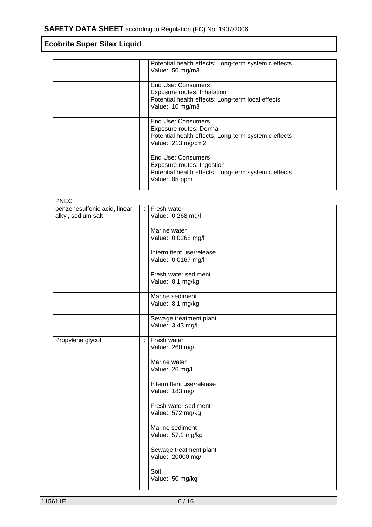| Potential health effects: Long-term systemic effects<br>Value: 50 mg/m3                                                    |
|----------------------------------------------------------------------------------------------------------------------------|
| End Use: Consumers<br>Exposure routes: Inhalation<br>Potential health effects: Long-term local effects<br>Value: 10 mg/m3  |
| End Use: Consumers<br>Exposure routes: Dermal<br>Potential health effects: Long-term systemic effects<br>Value: 213 mg/cm2 |
| End Use: Consumers<br>Exposure routes: Ingestion<br>Potential health effects: Long-term systemic effects<br>Value: 85 ppm  |

| <b>PNEC</b>                                        |                      |                                                |
|----------------------------------------------------|----------------------|------------------------------------------------|
| benzenesulfonic acid, linear<br>alkyl, sodium salt | $\ddot{\phantom{a}}$ | Fresh water<br>Value: 0.268 mg/l               |
|                                                    |                      | Marine water<br>Value: 0.0268 mg/l             |
|                                                    |                      | Intermittent use/release<br>Value: 0.0167 mg/l |
|                                                    |                      | Fresh water sediment<br>Value: 8.1 mg/kg       |
|                                                    |                      | Marine sediment<br>Value: 8.1 mg/kg            |
|                                                    |                      | Sewage treatment plant<br>Value: 3.43 mg/l     |
| Propylene glycol                                   | $\ddot{\phantom{a}}$ | Fresh water<br>Value: 260 mg/l                 |
|                                                    |                      | Marine water<br>Value: 26 mg/l                 |
|                                                    |                      | Intermittent use/release<br>Value: 183 mg/l    |
|                                                    |                      | Fresh water sediment<br>Value: 572 mg/kg       |
|                                                    |                      | Marine sediment<br>Value: 57.2 mg/kg           |
|                                                    |                      | Sewage treatment plant<br>Value: 20000 mg/l    |
|                                                    |                      | Soil<br>Value: 50 mg/kg                        |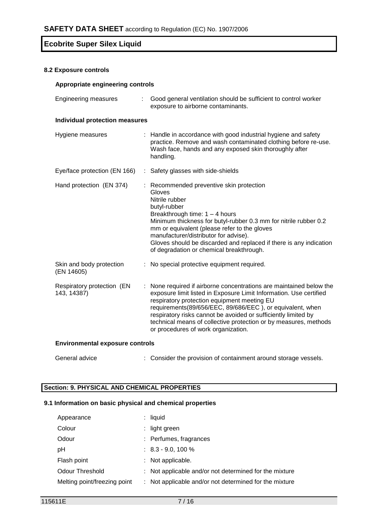## **8.2 Exposure controls**

| Appropriate engineering controls          |   |                                                                                                                                                                                                                                                                                                                                                                                                                                  |  |
|-------------------------------------------|---|----------------------------------------------------------------------------------------------------------------------------------------------------------------------------------------------------------------------------------------------------------------------------------------------------------------------------------------------------------------------------------------------------------------------------------|--|
| <b>Engineering measures</b><br>÷.         |   | Good general ventilation should be sufficient to control worker<br>exposure to airborne contaminants.                                                                                                                                                                                                                                                                                                                            |  |
| <b>Individual protection measures</b>     |   |                                                                                                                                                                                                                                                                                                                                                                                                                                  |  |
| Hygiene measures                          |   | : Handle in accordance with good industrial hygiene and safety<br>practice. Remove and wash contaminated clothing before re-use.<br>Wash face, hands and any exposed skin thoroughly after<br>handling.                                                                                                                                                                                                                          |  |
| Eye/face protection (EN 166)              |   | : Safety glasses with side-shields                                                                                                                                                                                                                                                                                                                                                                                               |  |
| Hand protection (EN 374)                  |   | : Recommended preventive skin protection<br>Gloves<br>Nitrile rubber<br>butyl-rubber<br>Breakthrough time: $1 - 4$ hours<br>Minimum thickness for butyl-rubber 0.3 mm for nitrile rubber 0.2<br>mm or equivalent (please refer to the gloves<br>manufacturer/distributor for advise).<br>Gloves should be discarded and replaced if there is any indication<br>of degradation or chemical breakthrough.                          |  |
| Skin and body protection<br>(EN 14605)    | ÷ | No special protective equipment required.                                                                                                                                                                                                                                                                                                                                                                                        |  |
| Respiratory protection (EN<br>143, 14387) |   | None required if airborne concentrations are maintained below the<br>exposure limit listed in Exposure Limit Information. Use certified<br>respiratory protection equipment meeting EU<br>requirements(89/656/EEC, 89/686/EEC), or equivalent, when<br>respiratory risks cannot be avoided or sufficiently limited by<br>technical means of collective protection or by measures, methods<br>or procedures of work organization. |  |
| <b>Environmental exposure controls</b>    |   |                                                                                                                                                                                                                                                                                                                                                                                                                                  |  |

General advice : Consider the provision of containment around storage vessels.

# **Section: 9. PHYSICAL AND CHEMICAL PROPERTIES**

# **9.1 Information on basic physical and chemical properties**

| Appearance                   | $:$ liquid                                             |
|------------------------------|--------------------------------------------------------|
| Colour                       | $:$ light green                                        |
| Odour                        | : Perfumes, fragrances                                 |
| рH                           | $\therefore$ 8.3 - 9.0, 100 %                          |
| Flash point                  | : Not applicable.                                      |
| Odour Threshold              | : Not applicable and/or not determined for the mixture |
| Melting point/freezing point | : Not applicable and/or not determined for the mixture |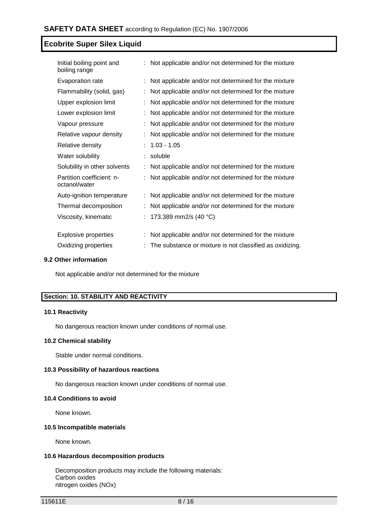| Initial boiling point and<br>boiling range | : Not applicable and/or not determined for the mixture   |
|--------------------------------------------|----------------------------------------------------------|
| Evaporation rate                           | : Not applicable and/or not determined for the mixture   |
| Flammability (solid, gas)                  | Not applicable and/or not determined for the mixture     |
| Upper explosion limit                      | : Not applicable and/or not determined for the mixture   |
| Lower explosion limit                      | Not applicable and/or not determined for the mixture     |
| Vapour pressure                            | Not applicable and/or not determined for the mixture     |
| Relative vapour density                    | Not applicable and/or not determined for the mixture     |
| Relative density                           | $1.03 - 1.05$                                            |
| Water solubility                           | soluble                                                  |
| Solubility in other solvents               | Not applicable and/or not determined for the mixture     |
| Partition coefficient: n-<br>octanol/water | Not applicable and/or not determined for the mixture     |
| Auto-ignition temperature                  | Not applicable and/or not determined for the mixture     |
| Thermal decomposition                      | Not applicable and/or not determined for the mixture     |
| Viscosity, kinematic                       | : 173.389 mm2/s (40 °C)                                  |
| <b>Explosive properties</b>                | Not applicable and/or not determined for the mixture     |
| Oxidizing properties                       | The substance or mixture is not classified as oxidizing. |

#### **9.2 Other information**

Not applicable and/or not determined for the mixture

# **Section: 10. STABILITY AND REACTIVITY**

#### **10.1 Reactivity**

No dangerous reaction known under conditions of normal use.

#### **10.2 Chemical stability**

Stable under normal conditions.

# **10.3 Possibility of hazardous reactions**

No dangerous reaction known under conditions of normal use.

#### **10.4 Conditions to avoid**

None known.

#### **10.5 Incompatible materials**

None known.

## **10.6 Hazardous decomposition products**

Decomposition products may include the following materials: Carbon oxides nitrogen oxides (NOx)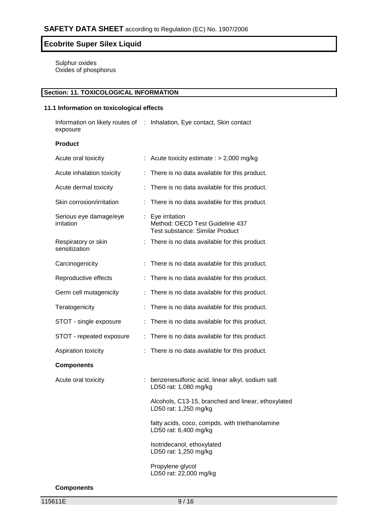Sulphur oxides Oxides of phosphorus

# **Section: 11. TOXICOLOGICAL INFORMATION**

# **11.1 Information on toxicological effects**

Information on likely routes of : Inhalation, Eye contact, Skin contact exposure

# **Product**

| Acute oral toxicity                  |    | Acute toxicity estimate : $> 2,000$ mg/kg                                              |
|--------------------------------------|----|----------------------------------------------------------------------------------------|
| Acute inhalation toxicity            | ÷. | There is no data available for this product.                                           |
| Acute dermal toxicity                |    | : There is no data available for this product.                                         |
| Skin corrosion/irritation            | t. | There is no data available for this product.                                           |
| Serious eye damage/eye<br>irritation |    | : Eye irritation<br>Method: OECD Test Guideline 437<br>Test substance: Similar Product |
| Respiratory or skin<br>sensitization |    | : There is no data available for this product.                                         |
| Carcinogenicity                      |    | : There is no data available for this product.                                         |
| Reproductive effects                 |    | : There is no data available for this product.                                         |
| Germ cell mutagenicity               |    | : There is no data available for this product.                                         |
| Teratogenicity                       | t. | There is no data available for this product.                                           |
| STOT - single exposure               |    | : There is no data available for this product.                                         |
| STOT - repeated exposure             |    | : There is no data available for this product.                                         |
| Aspiration toxicity                  | t. | There is no data available for this product.                                           |
| <b>Components</b>                    |    |                                                                                        |
| Acute oral toxicity                  |    | : benzenesulfonic acid, linear alkyl, sodium salt<br>LD50 rat: 1,080 mg/kg             |
|                                      |    | Alcohols, C13-15, branched and linear, ethoxylated<br>LD50 rat: 1,250 mg/kg            |
|                                      |    | fatty acids, coco, compds. with triethanolamine<br>LD50 rat: 6,400 mg/kg               |
|                                      |    | Isotridecanol, ethoxylated<br>LD50 rat: 1,250 mg/kg                                    |
|                                      |    | Propylene glycol<br>LD50 rat: 22,000 mg/kg                                             |

**Components**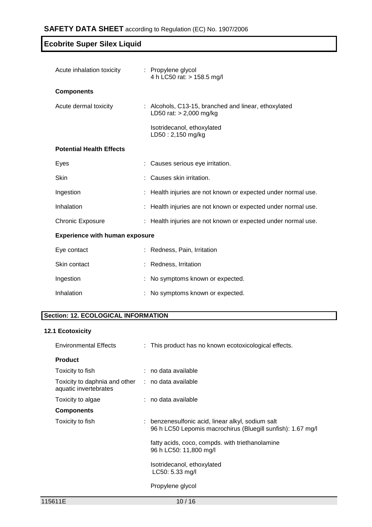| Acute inhalation toxicity             |  | : Propylene glycol<br>4 h LC50 rat: > 158.5 mg/l                                  |  |
|---------------------------------------|--|-----------------------------------------------------------------------------------|--|
| <b>Components</b>                     |  |                                                                                   |  |
| Acute dermal toxicity                 |  | : Alcohols, C13-15, branched and linear, ethoxylated<br>LD50 rat: $> 2,000$ mg/kg |  |
|                                       |  | Isotridecanol, ethoxylated<br>LD50: 2,150 mg/kg                                   |  |
| <b>Potential Health Effects</b>       |  |                                                                                   |  |
| Eyes                                  |  | Causes serious eye irritation.                                                    |  |
| Skin                                  |  | Causes skin irritation.                                                           |  |
| Ingestion                             |  | : Health injuries are not known or expected under normal use.                     |  |
| Inhalation                            |  | : Health injuries are not known or expected under normal use.                     |  |
| <b>Chronic Exposure</b>               |  | : Health injuries are not known or expected under normal use.                     |  |
| <b>Experience with human exposure</b> |  |                                                                                   |  |
| Eye contact                           |  | : Redness, Pain, Irritation                                                       |  |
| Skin contact                          |  | : Redness, Irritation                                                             |  |
| Ingestion                             |  | : No symptoms known or expected.                                                  |  |
| Inhalation                            |  | : No symptoms known or expected.                                                  |  |

# **Section: 12. ECOLOGICAL INFORMATION**

# **12.1 Ecotoxicity**

| <b>Environmental Effects</b>                                               | : This product has no known ecotoxicological effects.                                                            |  |
|----------------------------------------------------------------------------|------------------------------------------------------------------------------------------------------------------|--|
| <b>Product</b>                                                             |                                                                                                                  |  |
| Toxicity to fish                                                           | $:$ no data available                                                                                            |  |
| Toxicity to daphnia and other : no data available<br>aquatic invertebrates |                                                                                                                  |  |
| Toxicity to algae                                                          | : no data available                                                                                              |  |
| <b>Components</b>                                                          |                                                                                                                  |  |
| Toxicity to fish                                                           | : benzenesulfonic acid, linear alkyl, sodium salt<br>96 h LC50 Lepomis macrochirus (Bluegill sunfish): 1.67 mg/l |  |
|                                                                            | fatty acids, coco, compds. with triethanolamine<br>96 h LC50: 11,800 mg/l                                        |  |
|                                                                            | Isotridecanol, ethoxylated<br>$LC50: 5.33$ mg/l                                                                  |  |
|                                                                            | Propylene glycol                                                                                                 |  |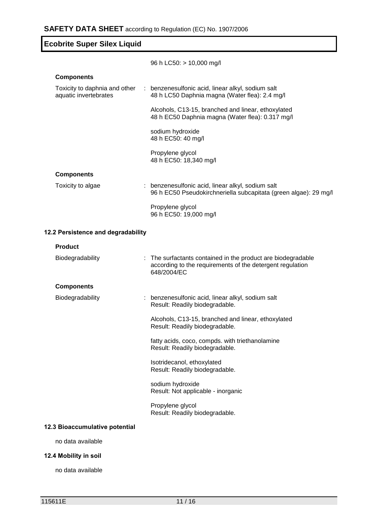| <b>Ecobrite Super Silex Liquid</b>                     |                                                                                                                     |  |  |
|--------------------------------------------------------|---------------------------------------------------------------------------------------------------------------------|--|--|
|                                                        | 96 h LC50: $> 10,000$ mg/l                                                                                          |  |  |
| <b>Components</b>                                      |                                                                                                                     |  |  |
| Toxicity to daphnia and other<br>aquatic invertebrates | : benzenesulfonic acid, linear alkyl, sodium salt<br>48 h LC50 Daphnia magna (Water flea): 2.4 mg/l                 |  |  |
|                                                        | Alcohols, C13-15, branched and linear, ethoxylated<br>48 h EC50 Daphnia magna (Water flea): 0.317 mg/l              |  |  |
|                                                        | sodium hydroxide<br>48 h EC50: 40 mg/l                                                                              |  |  |
|                                                        | Propylene glycol<br>48 h EC50: 18,340 mg/l                                                                          |  |  |
| <b>Components</b>                                      |                                                                                                                     |  |  |
| Toxicity to algae                                      | benzenesulfonic acid, linear alkyl, sodium salt<br>96 h EC50 Pseudokirchneriella subcapitata (green algae): 29 mg/l |  |  |
|                                                        | Propylene glycol<br>96 h EC50: 19,000 mg/l                                                                          |  |  |
| 12.2 Persistence and degradability                     |                                                                                                                     |  |  |
| <b>Product</b>                                         |                                                                                                                     |  |  |

| Biodegradability               | : The surfactants contained in the product are biodegradable<br>according to the requirements of the detergent regulation<br>648/2004/EC |
|--------------------------------|------------------------------------------------------------------------------------------------------------------------------------------|
| <b>Components</b>              |                                                                                                                                          |
| Biodegradability               | : benzenesulfonic acid, linear alkyl, sodium salt<br>Result: Readily biodegradable.                                                      |
|                                | Alcohols, C13-15, branched and linear, ethoxylated<br>Result: Readily biodegradable.                                                     |
|                                | fatty acids, coco, compds. with triethanolamine<br>Result: Readily biodegradable.                                                        |
|                                | Isotridecanol, ethoxylated<br>Result: Readily biodegradable.                                                                             |
|                                | sodium hydroxide<br>Result: Not applicable - inorganic                                                                                   |
|                                | Propylene glycol<br>Result: Readily biodegradable.                                                                                       |
| 12.3 Bioaccumulative potential |                                                                                                                                          |
|                                |                                                                                                                                          |

no data available

# **12.4 Mobility in soil**

no data available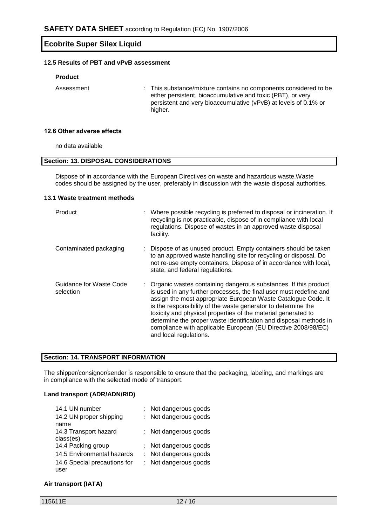# **12.5 Results of PBT and vPvB assessment**

#### **Product**

Assessment : This substance/mixture contains no components considered to be either persistent, bioaccumulative and toxic (PBT), or very persistent and very bioaccumulative (vPvB) at levels of 0.1% or higher.

#### **12.6 Other adverse effects**

no data available

### **Section: 13. DISPOSAL CONSIDERATIONS**

Dispose of in accordance with the European Directives on waste and hazardous waste.Waste codes should be assigned by the user, preferably in discussion with the waste disposal authorities.

#### **13.1 Waste treatment methods**

| Product                              | : Where possible recycling is preferred to disposal or incineration. If<br>recycling is not practicable, dispose of in compliance with local<br>regulations. Dispose of wastes in an approved waste disposal<br>facility.                                                                                                                                                                                                                                                                                  |
|--------------------------------------|------------------------------------------------------------------------------------------------------------------------------------------------------------------------------------------------------------------------------------------------------------------------------------------------------------------------------------------------------------------------------------------------------------------------------------------------------------------------------------------------------------|
| Contaminated packaging               | Dispose of as unused product. Empty containers should be taken<br>to an approved waste handling site for recycling or disposal. Do<br>not re-use empty containers. Dispose of in accordance with local,<br>state, and federal regulations.                                                                                                                                                                                                                                                                 |
| Guidance for Waste Code<br>selection | : Organic wastes containing dangerous substances. If this product<br>is used in any further processes, the final user must redefine and<br>assign the most appropriate European Waste Catalogue Code. It<br>is the responsibility of the waste generator to determine the<br>toxicity and physical properties of the material generated to<br>determine the proper waste identification and disposal methods in<br>compliance with applicable European (EU Directive 2008/98/EC)<br>and local regulations. |

## **Section: 14. TRANSPORT INFORMATION**

The shipper/consignor/sender is responsible to ensure that the packaging, labeling, and markings are in compliance with the selected mode of transport.

# **Land transport (ADR/ADN/RID)**

| 14.1 UN number               | : Not dangerous goods |
|------------------------------|-----------------------|
| 14.2 UN proper shipping      | : Not dangerous goods |
| name                         |                       |
| 14.3 Transport hazard        | : Not dangerous goods |
| class(es)                    |                       |
| 14.4 Packing group           | : Not dangerous goods |
| 14.5 Environmental hazards   | : Not dangerous goods |
| 14.6 Special precautions for | : Not dangerous goods |
| user                         |                       |

## **Air transport (IATA)**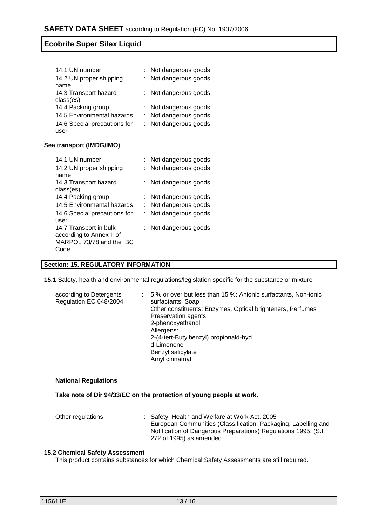| 14.1 UN number               | : Not dangerous goods |
|------------------------------|-----------------------|
| 14.2 UN proper shipping      | : Not dangerous goods |
| name                         |                       |
| 14.3 Transport hazard        | : Not dangerous goods |
| class(es)                    |                       |
| 14.4 Packing group           | : Not dangerous goods |
| 14.5 Environmental hazards   | : Not dangerous goods |
| 14.6 Special precautions for | : Not dangerous goods |
| user                         |                       |

## **Sea transport (IMDG/IMO)**

| 14.1 UN number               |    | Not dangerous goods |
|------------------------------|----|---------------------|
| 14.2 UN proper shipping      |    | Not dangerous goods |
| name                         |    |                     |
| 14.3 Transport hazard        | ÷. | Not dangerous goods |
| class(es)                    |    |                     |
| 14.4 Packing group           |    | Not dangerous goods |
| 14.5 Environmental hazards   | ÷. | Not dangerous goods |
| 14.6 Special precautions for |    | Not dangerous goods |
| user                         |    |                     |
| 14.7 Transport in bulk       |    | Not dangerous goods |
| according to Annex II of     |    |                     |
| MARPOL 73/78 and the IBC     |    |                     |
| Code                         |    |                     |
|                              |    |                     |

# **Section: 15. REGULATORY INFORMATION**

**15.1** Safety, health and environmental regulations/legislation specific for the substance or mixture

| according to Detergents<br>Regulation EC 648/2004 | 5 % or over but less than 15 %: Anionic surfactants, Non-ionic<br>surfactants, Soap |
|---------------------------------------------------|-------------------------------------------------------------------------------------|
|                                                   | Other constituents: Enzymes, Optical brighteners, Perfumes                          |
|                                                   | Preservation agents:                                                                |
|                                                   | 2-phenoxyethanol                                                                    |
|                                                   | Allergens:                                                                          |
|                                                   | 2-(4-tert-Butylbenzyl) propionald-hyd                                               |
|                                                   | d-Limonene                                                                          |
|                                                   | Benzyl salicylate                                                                   |
|                                                   | Amyl cinnamal                                                                       |

#### **National Regulations**

**Take note of Dir 94/33/EC on the protection of young people at work.**

Other regulations : Safety, Health and Welfare at Work Act, 2005 European Communities (Classification, Packaging, Labelling and Notification of Dangerous Preparations) Regulations 1995. (S.I. 272 of 1995) as amended

#### **15.2 Chemical Safety Assessment**

This product contains substances for which Chemical Safety Assessments are still required.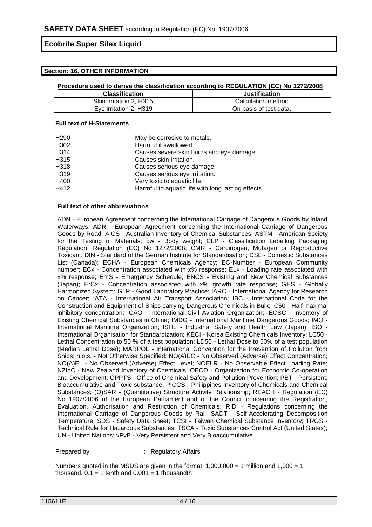#### **Section: 16. OTHER INFORMATION**

#### **Procedure used to derive the classification according to REGULATION (EC) No 1272/2008**

| <b>Classification</b>   | <b>Justification</b>   |
|-------------------------|------------------------|
| Skin irritation 2, H315 | Calculation method     |
| Eye irritation 2, H319  | On basis of test data. |

#### **Full text of H-Statements**

| H290 | May be corrosive to metals.                        |
|------|----------------------------------------------------|
| H302 | Harmful if swallowed.                              |
| H314 | Causes severe skin burns and eye damage.           |
| H315 | Causes skin irritation.                            |
| H318 | Causes serious eye damage.                         |
| H319 | Causes serious eye irritation.                     |
| H400 | Very toxic to aquatic life.                        |
| H412 | Harmful to aquatic life with long lasting effects. |

#### **Full text of other abbreviations**

ADN - European Agreement concerning the International Carriage of Dangerous Goods by Inland Waterways; ADR - European Agreement concerning the International Carriage of Dangerous Goods by Road; AICS - Australian Inventory of Chemical Substances; ASTM - American Society for the Testing of Materials; bw - Body weight; CLP - Classification Labelling Packaging Regulation; Regulation (EC) No 1272/2008; CMR - Carcinogen, Mutagen or Reproductive Toxicant; DIN - Standard of the German Institute for Standardisation; DSL - Domestic Substances List (Canada); ECHA - European Chemicals Agency; EC-Number - European Community number; ECx - Concentration associated with x% response; ELx - Loading rate associated with x% response; EmS - Emergency Schedule; ENCS - Existing and New Chemical Substances (Japan); ErCx - Concentration associated with x% growth rate response; GHS - Globally Harmonized System; GLP - Good Laboratory Practice; IARC - International Agency for Research on Cancer; IATA - International Air Transport Association; IBC - International Code for the Construction and Equipment of Ships carrying Dangerous Chemicals in Bulk; IC50 - Half maximal inhibitory concentration; ICAO - International Civil Aviation Organization; IECSC - Inventory of Existing Chemical Substances in China; IMDG - International Maritime Dangerous Goods; IMO - International Maritime Organization; ISHL - Industrial Safety and Health Law (Japan); ISO - International Organisation for Standardization; KECI - Korea Existing Chemicals Inventory; LC50 - Lethal Concentration to 50 % of a test population; LD50 - Lethal Dose to 50% of a test population (Median Lethal Dose); MARPOL - International Convention for the Prevention of Pollution from Ships; n.o.s. - Not Otherwise Specified; NO(A)EC - No Observed (Adverse) Effect Concentration; NO(A)EL - No Observed (Adverse) Effect Level; NOELR - No Observable Effect Loading Rate; NZIoC - New Zealand Inventory of Chemicals; OECD - Organization for Economic Co-operation and Development; OPPTS - Office of Chemical Safety and Pollution Prevention; PBT - Persistent, Bioaccumulative and Toxic substance; PICCS - Philippines Inventory of Chemicals and Chemical Substances; (Q)SAR - (Quantitative) Structure Activity Relationship; REACH - Regulation (EC) No 1907/2006 of the European Parliament and of the Council concerning the Registration, Evaluation, Authorisation and Restriction of Chemicals; RID - Regulations concerning the International Carriage of Dangerous Goods by Rail; SADT - Self-Accelerating Decomposition Temperature; SDS - Safety Data Sheet; TCSI - Taiwan Chemical Substance Inventory; TRGS - Technical Rule for Hazardous Substances; TSCA - Toxic Substances Control Act (United States); UN - United Nations; vPvB - Very Persistent and Very Bioaccumulative

Prepared by : Regulatory Affairs

Numbers quoted in the MSDS are given in the format:  $1,000,000 = 1$  million and  $1,000 = 1$ thousand.  $0.1 = 1$  tenth and  $0.001 = 1$  thousandth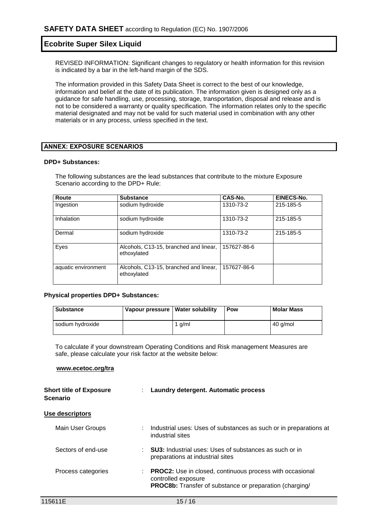REVISED INFORMATION: Significant changes to regulatory or health information for this revision is indicated by a bar in the left-hand margin of the SDS.

The information provided in this Safety Data Sheet is correct to the best of our knowledge, information and belief at the date of its publication. The information given is designed only as a guidance for safe handling, use, processing, storage, transportation, disposal and release and is not to be considered a warranty or quality specification. The information relates only to the specific material designated and may not be valid for such material used in combination with any other materials or in any process, unless specified in the text.

#### **ANNEX: EXPOSURE SCENARIOS**

#### **DPD+ Substances:**

The following substances are the lead substances that contribute to the mixture Exposure Scenario according to the DPD+ Rule:

| Route               | <b>Substance</b>                                      | CAS-No.     | EINECS-No. |
|---------------------|-------------------------------------------------------|-------------|------------|
| Ingestion           | sodium hydroxide                                      | 1310-73-2   | 215-185-5  |
| Inhalation          | sodium hydroxide                                      | 1310-73-2   | 215-185-5  |
| Dermal              | sodium hydroxide                                      | 1310-73-2   | 215-185-5  |
| Eyes                | Alcohols, C13-15, branched and linear,<br>ethoxylated | 157627-86-6 |            |
| aquatic environment | Alcohols, C13-15, branched and linear,<br>ethoxylated | 157627-86-6 |            |

#### **Physical properties DPD+ Substances:**

| <b>Substance</b> | Vapour pressure   Water solubility |        | Pow | <b>Molar Mass</b> |
|------------------|------------------------------------|--------|-----|-------------------|
| sodium hydroxide |                                    | 1 g/ml |     | 40 g/mol          |

To calculate if your downstream Operating Conditions and Risk management Measures are safe, please calculate your risk factor at the website below:

#### **www.ecetoc.org/tra**

| <b>Short title of Exposure</b><br><b>Scenario</b> | : Laundry detergent. Automatic process                                                                                                                         |  |
|---------------------------------------------------|----------------------------------------------------------------------------------------------------------------------------------------------------------------|--|
| Use descriptors                                   |                                                                                                                                                                |  |
| Main User Groups                                  | Industrial uses: Uses of substances as such or in preparations at<br>industrial sites                                                                          |  |
| Sectors of end-use                                | <b>SU3:</b> Industrial uses: Uses of substances as such or in<br>preparations at industrial sites                                                              |  |
| Process categories                                | <b>PROC2:</b> Use in closed, continuous process with occasional<br>÷.<br>controlled exposure<br><b>PROC8b:</b> Transfer of substance or preparation (charging/ |  |